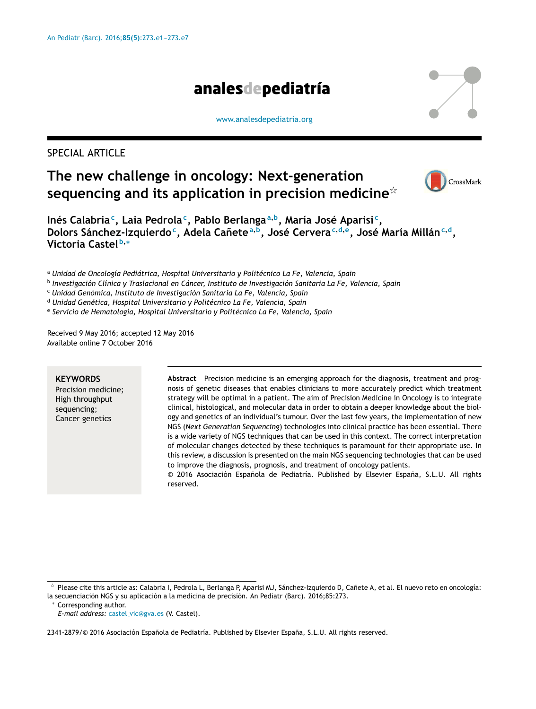# analesdepediatría

#### [www.analesdepediatria.org](http://www.analesdepediatria.org)

# SPECIAL ARTICLE

# **The new challenge in oncology: Next-generation sequencing and its application in precision medicine**-



**Inés Calabria<sup>c</sup> , Laia Pedrola<sup>c</sup> , Pablo Berlanga<sup>a</sup>**,**<sup>b</sup> , María José Aparisi <sup>c</sup> ,** Dolors Sánchez-Izquierdo<sup>c</sup>, Adela Cañete<sup>a,b</sup>, José Cervera<sup>c,d,e</sup>, José María Millán<sup>c,d</sup>, **Victoria Castel <sup>b</sup>**,<sup>∗</sup>

<sup>a</sup> *Unidad de Oncología Pediátrica, Hospital Universitario y Politécnico La Fe, Valencia, Spain*

b *Investigación Clínica y Traslacional en Cáncer, Instituto de Investigación Sanitaria La Fe, Valencia, Spain*

<sup>c</sup> *Unidad Genómica, Instituto de Investigación Sanitaria La Fe, Valencia, Spain*

<sup>d</sup> *Unidad Genética, Hospital Universitario y Politécnico La Fe, Valencia, Spain*

e *Servicio de Hematología, Hospital Universitario y Politécnico La Fe, Valencia, Spain*

Received 9 May 2016; accepted 12 May 2016 Available online 7 October 2016

#### **KEYWORDS**

Precision medicine; High throughput sequencing; Cancer genetics

**Abstract** Precision medicine is an emerging approach for the diagnosis, treatment and prognosis of genetic diseases that enables clinicians to more accurately predict which treatment strategy will be optimal in a patient. The aim of Precision Medicine in Oncology is to integrate clinical, histological, and molecular data in order to obtain a deeper knowledge about the biology and genetics of an individual's tumour. Over the last few years, the implementation of new NGS (*Next Generation Sequencing*) technologies into clinical practice has been essential. There is a wide variety of NGS techniques that can be used in this context. The correct interpretation of molecular changes detected by these techniques is paramount for their appropriate use. In this review, a discussion is presented on the main NGS sequencing technologies that can be used to improve the diagnosis, prognosis, and treatment of oncology patients.

 $© 2016 Asociación Española de Pediatria. Published by Elsevier España, S.L.U. All rights$ reserved.

 $\frac{1}{24}$ Please cite this article as: Calabria I, Pedrola L, Berlanga P, Aparisi MJ, Sánchez-Izquierdo D, Cañete A, et al. El nuevo reto en oncología: la secuenciación NGS y su aplicación a la medicina de precisión. An Pediatr (Barc). 2016;85:273.

Corresponding author.

*E-mail address:* castel [vic@gva.es](mailto:castel_vic@gva.es) (V. Castel).

2341-2879/© 2016 Asociación Española de Pediatría. Published by Elsevier España, S.L.U. All rights reserved.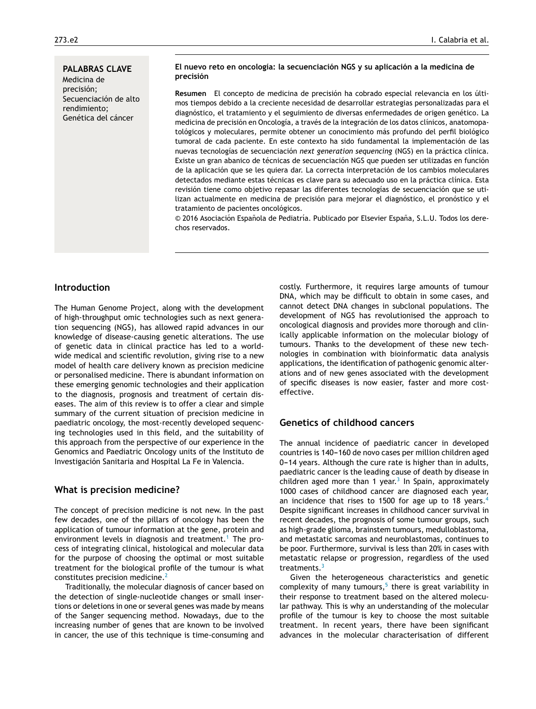**PALABRAS CLAVE** Medicina de precisión; Secuenciación de alto rendimiento;

Genética del cáncer

#### **El nuevo reto en oncología: la secuenciación NGS y su aplicación a la medicina de precisión**

**Resumen** El concepto de medicina de precisión ha cobrado especial relevancia en los últimos tiempos debido a la creciente necesidad de desarrollar estrategias personalizadas para el diagnóstico, el tratamiento y el seguimiento de diversas enfermedades de origen genético. La medicina de precisión en Oncología, a través de la integración de los datos clínicos, anatomopatológicos y moleculares, permite obtener un conocimiento más profundo del perfil biológico tumoral de cada paciente. En este contexto ha sido fundamental la implementación de las nuevas tecnologías de secuenciación *next generation sequencing* (NGS) en la práctica clínica. Existe un gran abanico de técnicas de secuenciación NGS que pueden ser utilizadas en función de la aplicación que se les quiera dar. La correcta interpretación de los cambios moleculares detectados mediante estas técnicas es clave para su adecuado uso en la práctica clínica. Esta revisión tiene como objetivo repasar las diferentes tecnologías de secuenciación que se utilizan actualmente en medicina de precisión para mejorar el diagnóstico, el pronóstico y el tratamiento de pacientes oncológicos.

 $©$  2016 Asociación Española de Pediatría. Publicado por Elsevier España, S.L.U. Todos los derechos reservados.

## **Introduction**

The Human Genome Project, along with the development of high-throughput omic technologies such as next generation sequencing (NGS), has allowed rapid advances in our knowledge of disease-causing genetic alterations. The use of genetic data in clinical practice has led to a worldwide medical and scientific revolution, giving rise to a new model of health care delivery known as precision medicine or personalised medicine. There is abundant information on these emerging genomic technologies and their application to the diagnosis, prognosis and treatment of certain diseases. The aim of this review is to offer a clear and simple summary of the current situation of precision medicine in paediatric oncology, the most-recently developed sequencing technologies used in this field, and the suitability of this approach from the perspective of our experience in the Genomics and Paediatric Oncology units of the Instituto de Investigación Sanitaria and Hospital La Fe in Valencia.

## **What is precision medicine?**

The concept of precision medicine is not new. In the past few decades, one of the pillars of oncology has been the application of tumour information at the gene, protein and environment levels in diagnosis and treatment.<sup>[1](#page-5-0)</sup> The process of integrating clinical, histological and molecular data for the purpose of choosing the optimal or most suitable treatment for the biological profile of the tumour is what constitutes precision medicine.<sup>[2](#page-5-0)</sup>

Traditionally, the molecular diagnosis of cancer based on the detection of single-nucleotide changes or small insertions or deletions in one or several genes was made by means of the Sanger sequencing method. Nowadays, due to the increasing number of genes that are known to be involved in cancer, the use of this technique is time-consuming and

costly. Furthermore, it requires large amounts of tumour DNA, which may be difficult to obtain in some cases, and cannot detect DNA changes in subclonal populations. The development of NGS has revolutionised the approach to oncological diagnosis and provides more thorough and clinically applicable information on the molecular biology of tumours. Thanks to the development of these new technologies in combination with bioinformatic data analysis applications, the identification of pathogenic genomic alterations and of new genes associated with the development of specific diseases is now easier, faster and more costeffective.

# **Genetics of childhood cancers**

The annual incidence of paediatric cancer in developed countries is 140-160 de novo cases per million children aged 0-14 years. Although the cure rate is higher than in adults, paediatric cancer is the leading cause of death by disease in children aged more than 1 year. $3$  In Spain, approximately 1000 cases of childhood cancer are diagnosed each year, an incidence that rises to 1500 for age up to 18 years.<sup>[4](#page-5-0)</sup> Despite significant increases in childhood cancer survival in recent decades, the prognosis of some tumour groups, such as high-grade glioma, brainstem tumours, medulloblastoma, and metastatic sarcomas and neuroblastomas, continues to be poor. Furthermore, survival is less than 20% in cases with metastatic relapse or progression, regardless of the used treatments.<sup>[3](#page-5-0)</sup>

Given the heterogeneous characteristics and genetic complexity of many tumours, $5$  there is great variability in their response to treatment based on the altered molecular pathway. This is why an understanding of the molecular profile of the tumour is key to choose the most suitable treatment. In recent years, there have been significant advances in the molecular characterisation of different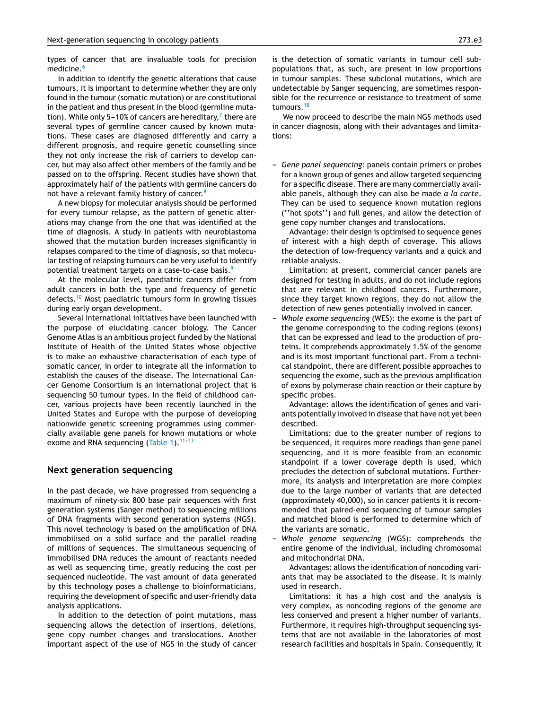types of cancer that are invaluable tools for precision medicine.<sup>[6](#page-5-0)</sup>

In addition to identify the genetic alterations that cause tumours, it is important to determine whether they are only found in the tumour (somatic mutation) or are constitutional in the patient and thus present in the blood (germline muta[t](#page-5-0)ion). While only 5–10% of cancers are hereditary, $^7$  there are several types of germline cancer caused by known mutations. These cases are diagnosed differently and carry a different prognosis, and require genetic counselling since they not only increase the risk of carriers to develop cancer, but may also affect other members of the family and be passed on to the offspring. Recent studies have shown that approximately half of the patients with germline cancers do not have a relevant family history of cancer.<sup>[8](#page-5-0)</sup>

A new biopsy for molecular analysis should be performed for every tumour relapse, as the pattern of genetic alterations may change from the one that was identified at the time of diagnosis. A study in patients with neuroblastoma showed that the mutation burden increases significantly in relapses compared to the time of diagnosis, so that molecular testing of relapsing tumours can be very useful to identify potential treatment targets on a case-to-case basis.[9](#page-5-0)

At the molecular level, paediatric cancers differ from adult cancers in both the type and frequency of genetic defects.[10](#page-5-0) Most paediatric tumours form in growing tissues during early organ development.

Several international initiatives have been launched with the purpose of elucidating cancer biology. The Cancer Genome Atlas is an ambitious project funded by the National Institute of Health of the United States whose objective is to make an exhaustive characterisation of each type of somatic cancer, in order to integrate all the information to establish the causes of the disease. The International Cancer Genome Consortium is an international project that is sequencing 50 tumour types. In the field of childhood cancer, various projects have been recently launched in the United States and Europe with the purpose of developing nationwide genetic screening programmes using commercially available gene panels for known mutations or whole exome and RNA sequencing  $(Table 1).<sup>11-13</sup>$  $(Table 1).<sup>11-13</sup>$ 

### **Next generation sequencing**

In the past decade, we have progressed from sequencing a maximum of ninety-six 800 base pair sequences with first generation systems (Sanger method) to sequencing millions of DNA fragments with second generation systems (NGS). This novel technology is based on the amplification of DNA immobilised on a solid surface and the parallel reading of millions of sequences. The simultaneous sequencing of immobilised DNA reduces the amount of reactants needed as well as sequencing time, greatly reducing the cost per sequenced nucleotide. The vast amount of data generated by this technology poses a challenge to bioinformaticians, requiring the development of specific and user-friendly data analysis applications.

In addition to the detection of point mutations, mass sequencing allows the detection of insertions, deletions, gene copy number changes and translocations. Another important aspect of the use of NGS in the study of cancer

is the detection of somatic variants in tumour cell subpopulations that, as such, are present in low proportions in tumour samples. These subclonal mutations, which are undetectable by Sanger sequencing, are sometimes responsible for the recurrence or resistance to treatment of some tumours.<sup>[18](#page-5-0)</sup>

We now proceed to describe the main NGS methods used in cancer diagnosis, along with their advantages and limitations:

--- *Gene panel sequencing:* panels contain primers or probes for a known group of genes and allow targeted sequencing for a specific disease. There are many commercially available panels, although they can also be made *a la carte*. They can be used to sequence known mutation regions (''hot spots'') and full genes, and allow the detection of gene copy number changes and translocations.

Advantage: their design is optimised to sequence genes of interest with a high depth of coverage. This allows the detection of low-frequency variants and a quick and reliable analysis.

Limitation: at present, commercial cancer panels are designed for testing in adults, and do not include regions that are relevant in childhood cancers. Furthermore, since they target known regions, they do not allow the detection of new genes potentially involved in cancer.

--- *Whole exome sequencing* (WES): the exome is the part of the genome corresponding to the coding regions (exons) that can be expressed and lead to the production of proteins. It comprehends approximately 1.5% of the genome and is its most important functional part. From a technical standpoint, there are different possible approaches to sequencing the exome, such as the previous amplification of exons by polymerase chain reaction or their capture by specific probes.

Advantage: allows the identification of genes and variants potentially involved in disease that have not yet been described.

Limitations: due to the greater number of regions to be sequenced, it requires more readings than gene panel sequencing, and it is more feasible from an economic standpoint if a lower coverage depth is used, which precludes the detection of subclonal mutations. Furthermore, its analysis and interpretation are more complex due to the large number of variants that are detected (approximately 40,000), so in cancer patients it is recommended that paired-end sequencing of tumour samples and matched blood is performed to determine which of the variants are somatic.

--- *Whole genome sequencing* (WGS): comprehends the entire genome of the individual, including chromosomal and mitochondrial DNA.

Advantages: allows the identification of noncoding variants that may be associated to the disease. It is mainly used in research.

Limitations: it has a high cost and the analysis is very complex, as noncoding regions of the genome are less conserved and present a higher number of variants. Furthermore, it requires high-throughput sequencing systems that are not available in the laboratories of most research facilities and hospitals in Spain. Consequently, it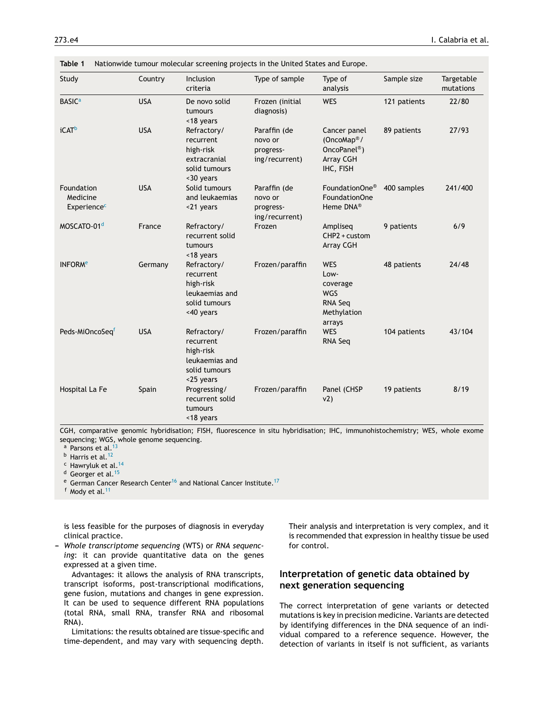| Study                                             | Country    | Inclusion<br>criteria                                                                 | Type of sample                                         | Type of<br>analysis                                                                     | Sample size  | Targetable<br>mutations |
|---------------------------------------------------|------------|---------------------------------------------------------------------------------------|--------------------------------------------------------|-----------------------------------------------------------------------------------------|--------------|-------------------------|
| <b>BASIC<sup>a</sup></b>                          | <b>USA</b> | De novo solid<br>tumours<br><18 years                                                 | Frozen (initial<br>diagnosis)                          | <b>WES</b>                                                                              | 121 patients | 22/80                   |
| iCAT <sup>b</sup>                                 | <b>USA</b> | Refractory/<br>recurrent<br>high-risk<br>extracranial<br>solid tumours<br><30 years   | Paraffin (de<br>novo or<br>progress-<br>ing/recurrent) | Cancer panel<br>(OncoMap®/<br>OncoPanel <sup>®</sup> )<br><b>Array CGH</b><br>IHC, FISH | 89 patients  | 27/93                   |
| Foundation<br>Medicine<br>Experience <sup>c</sup> | <b>USA</b> | Solid tumours<br>and leukaemias<br><21 years                                          | Paraffin (de<br>novo or<br>progress-<br>ing/recurrent) | FoundationOne <sup>®</sup><br>FoundationOne<br>Heme DNA®                                | 400 samples  | 241/400                 |
| MOSCATO-01 <sup>d</sup>                           | France     | Refractory/<br>recurrent solid<br>tumours<br><18 years                                | Frozen                                                 | Ampliseq<br>CHP2 + custom<br><b>Array CGH</b>                                           | 9 patients   | 6/9                     |
| <b>INFORM<sup>e</sup></b>                         | Germany    | Refractory/<br>recurrent<br>high-risk<br>leukaemias and<br>solid tumours<br><40 years | Frozen/paraffin                                        | <b>WES</b><br>Low-<br>coverage<br><b>WGS</b><br><b>RNA Seq</b><br>Methylation<br>arrays | 48 patients  | 24/48                   |
| Peds-MiOncoSeqf                                   | <b>USA</b> | Refractory/<br>recurrent<br>high-risk<br>leukaemias and<br>solid tumours<br><25 years | Frozen/paraffin                                        | <b>WES</b><br><b>RNA Seq</b>                                                            | 104 patients | 43/104                  |
| Hospital La Fe                                    | Spain      | Progressing/<br>recurrent solid<br>tumours<br><18 years                               | Frozen/paraffin                                        | Panel (CHSP<br>v2)                                                                      | 19 patients  | 8/19                    |

<span id="page-3-0"></span>

| Table 1 |  | Nationwide tumour molecular screening projects in the United States and Europe. |
|---------|--|---------------------------------------------------------------------------------|
|         |  |                                                                                 |

CGH, comparative genomic hybridisation; FISH, fluorescence in situ hybridisation; IHC, immunohistochemistry; WES, whole exome sequencing; WGS, whole genome sequencing.

<sup>a</sup> Parsons et al.<sup>1</sup>

b Harris et al.<sup>[12](#page-5-0)</sup>

<sup>c</sup> Hawryluk et al.<sup>[14](#page-5-0)</sup>

 $d$  Georger et al.<sup>[15](#page-5-0)</sup>

e German Cancer Research Center<sup>[16](#page-5-0)</sup> and National Cancer Institute.<sup>[17](#page-5-0)</sup>

 $f$  Mody et al.<sup>[11](#page-5-0)</sup>

is less feasible for the purposes of diagnosis in everyday clinical practice.

--- *Whole transcriptome sequencing* (WTS) or *RNA sequencing*: it can provide quantitative data on the genes expressed at a given time.

Advantages: it allows the analysis of RNA transcripts, transcript isoforms, post-transcriptional modifications, gene fusion, mutations and changes in gene expression. It can be used to sequence different RNA populations (total RNA, small RNA, transfer RNA and ribosomal RNA).

Limitations: the results obtained are tissue-specific and time-dependent, and may vary with sequencing depth. Their analysis and interpretation is very complex, and it is recommended that expression in healthy tissue be used for control.

## **Interpretation of genetic data obtained by next generation sequencing**

The correct interpretation of gene variants or detected mutations is key in precision medicine. Variants are detected by identifying differences in the DNA sequence of an individual compared to a reference sequence. However, the detection of variants in itself is not sufficient, as variants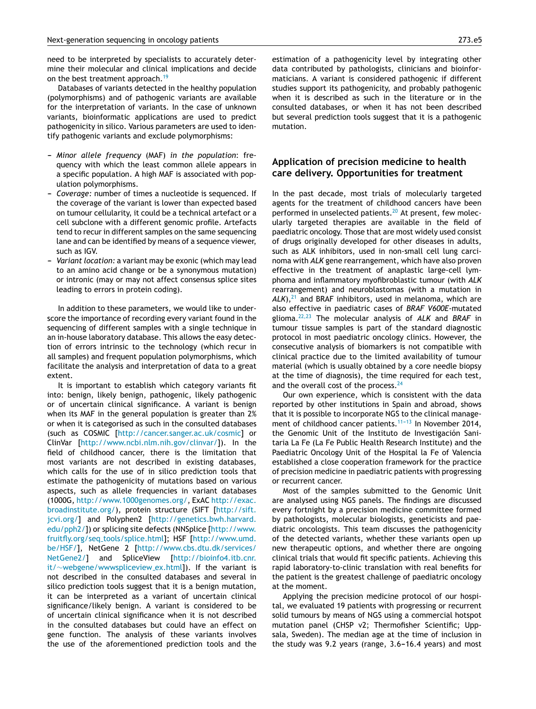need to be interpreted by specialists to accurately determine their molecular and clinical implications and decide on the best treatment approach.<sup>[19](#page-5-0)</sup>

Databases of variants detected in the healthy population (polymorphisms) and of pathogenic variants are available for the interpretation of variants. In the case of unknown variants, bioinformatic applications are used to predict pathogenicity in silico. Various parameters are used to identify pathogenic variants and exclude polymorphisms:

- --- *Minor allele frequency* (MAF) *in the population*: frequency with which the least common allele appears in a specific population. A high MAF is associated with population polymorphisms.
- Coverage: number of times a nucleotide is sequenced. If the coverage of the variant is lower than expected based on tumour cellularity, it could be a technical artefact or a cell subclone with a different genomic profile. Artefacts tend to recur in different samples on the same sequencing lane and can be identified by means of a sequence viewer, such as IGV.
- Variant *location*: a variant may be exonic (which may lead to an amino acid change or be a synonymous mutation) or intronic (may or may not affect consensus splice sites leading to errors in protein coding).

In addition to these parameters, we would like to underscore the importance of recording every variant found in the sequencing of different samples with a single technique in an in-house laboratory database. This allows the easy detection of errors intrinsic to the technology (which recur in all samples) and frequent population polymorphisms, which facilitate the analysis and interpretation of data to a great extent.

It is important to establish which category variants fit into: benign, likely benign, pathogenic, likely pathogenic or of uncertain clinical significance. A variant is benign when its MAF in the general population is greater than 2% or when it is categorised as such in the consulted databases (such as COSMIC [\[http://cancer.sanger.ac.uk/cosmic\]](http://cancer.sanger.ac.uk/cosmic) or ClinVar [<http://www.ncbi.nlm.nih.gov/clinvar/>]). In the field of childhood cancer, there is the limitation that most variants are not described in existing databases, which calls for the use of in silico prediction tools that estimate the pathogenicity of mutations based on various aspects, such as allele frequencies in variant databases (1000G, [http://www.1000genomes.org/,](http://www.1000genomes.org/) ExAC [http://exac.](http://exac.broadinstitute.org/) [broadinstitute.org/](http://exac.broadinstitute.org/)), protein structure (SIFT [[http://sift.](http://sift.jcvi.org/) [jcvi.org/\]](http://sift.jcvi.org/) and Polyphen2 [\[http://genetics.bwh.harvard.](http://genetics.bwh.harvard.edu/pph2/) [edu/pph2/](http://genetics.bwh.harvard.edu/pph2/)]) or splicing site defects (NNSplice [[http://www.](http://www.fruitfly.org/seq_tools/splice.html) fruitfly.org/seq [tools/splice.html\]](http://www.fruitfly.org/seq_tools/splice.html); HSF [[http://www.umd.](http://www.umd.be/HSF/) [be/HSF/\]](http://www.umd.be/HSF/), NetGene 2 [[http://www.cbs.dtu.dk/services/](http://www.cbs.dtu.dk/services/NetGene2/) [NetGene2/\]](http://www.cbs.dtu.dk/services/NetGene2/) and SpliceView [[http://bioinfo4.itb.cnr.](http://bioinfo4.itb.cnr.it/~webgene/wwwspliceview_ex.html]) it/∼[webgene/wwwspliceview](http://bioinfo4.itb.cnr.it/~webgene/wwwspliceview_ex.html]) ex.html]). If the variant is not described in the consulted databases and several in silico prediction tools suggest that it is a benign mutation, it can be interpreted as a variant of uncertain clinical significance/likely benign. A variant is considered to be of uncertain clinical significance when it is not described in the consulted databases but could have an effect on gene function. The analysis of these variants involves the use of the aforementioned prediction tools and the estimation of a pathogenicity level by integrating other data contributed by pathologists, clinicians and bioinformaticians. A variant is considered pathogenic if different studies support its pathogenicity, and probably pathogenic when it is described as such in the literature or in the consulted databases, or when it has not been described but several prediction tools suggest that it is a pathogenic mutation.

## **Application of precision medicine to health care delivery. Opportunities for treatment**

In the past decade, most trials of molecularly targeted agents for the treatment of childhood cancers have been performed in unselected patients. $20$  At present, few molecularly targeted therapies are available in the field of paediatric oncology. Those that are most widely used consist of drugs originally developed for other diseases in adults, such as ALK inhibitors, used in non-small cell lung carcinoma with *ALK* gene rearrangement, which have also proven effective in the treatment of anaplastic large-cell lymphoma and inflammatory myofibroblastic tumour (with *ALK* rearrangement) and neuroblastomas (with a mutation in  $ALK$ ),<sup>[21](#page-5-0)</sup> and BRAF inhibitors, used in melanoma, which are also effective in paediatric cases of *BRAF V600E*-mutated glioma.[22,23](#page-5-0) The molecular analysis of *ALK* and *BRAF* in tumour tissue samples is part of the standard diagnostic protocol in most paediatric oncology clinics. However, the consecutive analysis of biomarkers is not compatible with clinical practice due to the limited availability of tumour material (which is usually obtained by a core needle biopsy at the time of diagnosis), the time required for each test, and the overall cost of the process.<sup>[24](#page-6-0)</sup>

Our own experience, which is consistent with the data reported by other institutions in Spain and abroad, shows that it is possible to incorporate NGS to the clinical management of childhood cancer patients.<sup>11-13</sup> In November 2014, the Genomic Unit of the Instituto de Investigación Sanitaria La Fe (La Fe Public Health Research Institute) and the Paediatric Oncology Unit of the Hospital la Fe of Valencia established a close cooperation framework for the practice of precision medicine in paediatric patients with progressing or recurrent cancer.

Most of the samples submitted to the Genomic Unit are analysed using NGS panels. The findings are discussed every fortnight by a precision medicine committee formed by pathologists, molecular biologists, geneticists and paediatric oncologists. This team discusses the pathogenicity of the detected variants, whether these variants open up new therapeutic options, and whether there are ongoing clinical trials that would fit specific patients. Achieving this rapid laboratory-to-clinic translation with real benefits for the patient is the greatest challenge of paediatric oncology at the moment.

Applying the precision medicine protocol of our hospital, we evaluated 19 patients with progressing or recurrent solid tumours by means of NGS using a commercial hotspot mutation panel (CHSP v2; Thermofisher Scientific; Uppsala, Sweden). The median age at the time of inclusion in the study was  $9.2$  years (range,  $3.6-16.4$  years) and most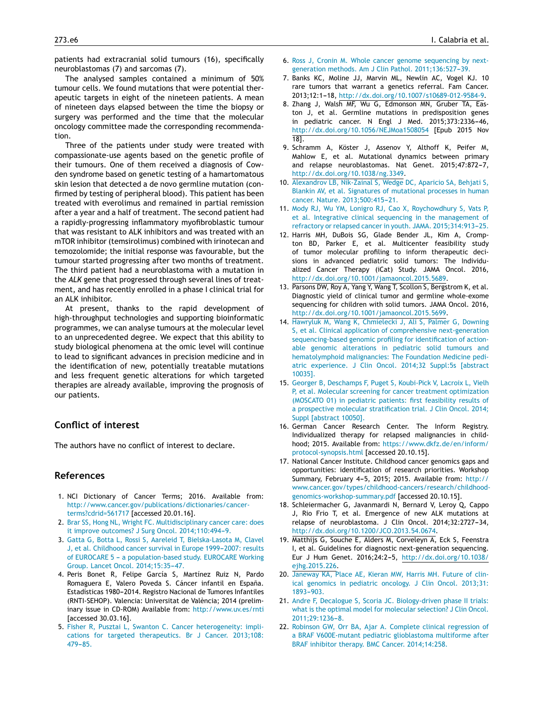<span id="page-5-0"></span>patients had extracranial solid tumours (16), specifically neuroblastomas (7) and sarcomas (7).

The analysed samples contained a minimum of 50% tumour cells. We found mutations that were potential therapeutic targets in eight of the nineteen patients. A mean of nineteen days elapsed between the time the biopsy or surgery was performed and the time that the molecular oncology committee made the corresponding recommendation.

Three of the patients under study were treated with compassionate-use agents based on the genetic profile of their tumours. One of them received a diagnosis of Cowden syndrome based on genetic testing of a hamartomatous skin lesion that detected a de novo germline mutation (confirmed by testing of peripheral blood). This patient has been treated with everolimus and remained in partial remission after a year and a half of treatment. The second patient had a rapidly-progressing inflammatory myofibroblastic tumour that was resistant to ALK inhibitors and was treated with an mTOR inhibitor (temsirolimus) combined with irinotecan and temozolomide; the initial response was favourable, but the tumour started progressing after two months of treatment. The third patient had a neuroblastoma with a mutation in the *ALK* gene that progressed through several lines of treatment, and has recently enrolled in a phase I clinical trial for an ALK inhibitor.

At present, thanks to the rapid development of high-throughput technologies and supporting bioinformatic programmes, we can analyse tumours at the molecular level to an unprecedented degree. We expect that this ability to study biological phenomena at the omic level will continue to lead to significant advances in precision medicine and in the identification of new, potentially treatable mutations and less frequent genetic alterations for which targeted therapies are already available, improving the prognosis of our patients.

# **Conflict of interest**

The authors have no conflict of interest to declare.

### **References**

- 1. NCI Dictionary of Cancer Terms; 2016. Available from: [http://www.cancer.gov/publications/dictionaries/cancer](http://www.cancer.gov/publications/dictionaries/cancer-terms?cdrid=561717)[terms?cdrid=561717](http://www.cancer.gov/publications/dictionaries/cancer-terms?cdrid=561717) [accessed 20.01.16].
- 2. [Brar](http://refhub.elsevier.com/S2341-2879(16)30114-4/sbref0130) [SS,](http://refhub.elsevier.com/S2341-2879(16)30114-4/sbref0130) [Hong](http://refhub.elsevier.com/S2341-2879(16)30114-4/sbref0130) [NL,](http://refhub.elsevier.com/S2341-2879(16)30114-4/sbref0130) [Wright](http://refhub.elsevier.com/S2341-2879(16)30114-4/sbref0130) [FC.](http://refhub.elsevier.com/S2341-2879(16)30114-4/sbref0130) [Multidisciplinary](http://refhub.elsevier.com/S2341-2879(16)30114-4/sbref0130) [cancer](http://refhub.elsevier.com/S2341-2879(16)30114-4/sbref0130) [care:](http://refhub.elsevier.com/S2341-2879(16)30114-4/sbref0130) [does](http://refhub.elsevier.com/S2341-2879(16)30114-4/sbref0130) [it](http://refhub.elsevier.com/S2341-2879(16)30114-4/sbref0130) [improve](http://refhub.elsevier.com/S2341-2879(16)30114-4/sbref0130) [outcomes?](http://refhub.elsevier.com/S2341-2879(16)30114-4/sbref0130) [J](http://refhub.elsevier.com/S2341-2879(16)30114-4/sbref0130) [Surg](http://refhub.elsevier.com/S2341-2879(16)30114-4/sbref0130) [Oncol.](http://refhub.elsevier.com/S2341-2879(16)30114-4/sbref0130) 2014;110:494-9.
- 3. [Gatta](http://refhub.elsevier.com/S2341-2879(16)30114-4/sbref0135) [G,](http://refhub.elsevier.com/S2341-2879(16)30114-4/sbref0135) [Botta](http://refhub.elsevier.com/S2341-2879(16)30114-4/sbref0135) [L,](http://refhub.elsevier.com/S2341-2879(16)30114-4/sbref0135) [Rossi](http://refhub.elsevier.com/S2341-2879(16)30114-4/sbref0135) [S,](http://refhub.elsevier.com/S2341-2879(16)30114-4/sbref0135) [Aareleid](http://refhub.elsevier.com/S2341-2879(16)30114-4/sbref0135) [T,](http://refhub.elsevier.com/S2341-2879(16)30114-4/sbref0135) [Bielska-Lasota](http://refhub.elsevier.com/S2341-2879(16)30114-4/sbref0135) [M,](http://refhub.elsevier.com/S2341-2879(16)30114-4/sbref0135) [Clavel](http://refhub.elsevier.com/S2341-2879(16)30114-4/sbref0135) [J,](http://refhub.elsevier.com/S2341-2879(16)30114-4/sbref0135) [et](http://refhub.elsevier.com/S2341-2879(16)30114-4/sbref0135) [al.](http://refhub.elsevier.com/S2341-2879(16)30114-4/sbref0135) [Childhood](http://refhub.elsevier.com/S2341-2879(16)30114-4/sbref0135) [cancer](http://refhub.elsevier.com/S2341-2879(16)30114-4/sbref0135) [survival](http://refhub.elsevier.com/S2341-2879(16)30114-4/sbref0135) [in](http://refhub.elsevier.com/S2341-2879(16)30114-4/sbref0135) [Europe](http://refhub.elsevier.com/S2341-2879(16)30114-4/sbref0135) 1999-2007: [results](http://refhub.elsevier.com/S2341-2879(16)30114-4/sbref0135) [of](http://refhub.elsevier.com/S2341-2879(16)30114-4/sbref0135) [EUROCARE](http://refhub.elsevier.com/S2341-2879(16)30114-4/sbref0135) [5](http://refhub.elsevier.com/S2341-2879(16)30114-4/sbref0135) - [a](http://refhub.elsevier.com/S2341-2879(16)30114-4/sbref0135) [population-based](http://refhub.elsevier.com/S2341-2879(16)30114-4/sbref0135) [study.](http://refhub.elsevier.com/S2341-2879(16)30114-4/sbref0135) EUROCARE [Working](http://refhub.elsevier.com/S2341-2879(16)30114-4/sbref0135) [Group.](http://refhub.elsevier.com/S2341-2879(16)30114-4/sbref0135) [Lancet](http://refhub.elsevier.com/S2341-2879(16)30114-4/sbref0135) [Oncol.](http://refhub.elsevier.com/S2341-2879(16)30114-4/sbref0135) 2014;15:35-47.
- 4. Peris Bonet R, Felipe García S, Martínez Ruiz N, Pardo Romaguera E, Valero Poveda S. Cáncer infantil en España. Estadísticas 1980-2014. Registro Nacional de Tumores Infantiles (RNTI-SEHOP). Valencia: Universitat de València; 2014 (preliminary issue in CD-ROM) Available from: <http://www.uv.es/rnti> [accessed 30.03.16].
- 5. [Fisher](http://refhub.elsevier.com/S2341-2879(16)30114-4/sbref0145) [R,](http://refhub.elsevier.com/S2341-2879(16)30114-4/sbref0145) [Pusztai](http://refhub.elsevier.com/S2341-2879(16)30114-4/sbref0145) [L,](http://refhub.elsevier.com/S2341-2879(16)30114-4/sbref0145) [Swanton](http://refhub.elsevier.com/S2341-2879(16)30114-4/sbref0145) [C.](http://refhub.elsevier.com/S2341-2879(16)30114-4/sbref0145) [Cancer](http://refhub.elsevier.com/S2341-2879(16)30114-4/sbref0145) [heterogeneity:](http://refhub.elsevier.com/S2341-2879(16)30114-4/sbref0145) [impli](http://refhub.elsevier.com/S2341-2879(16)30114-4/sbref0145)[cations](http://refhub.elsevier.com/S2341-2879(16)30114-4/sbref0145) [for](http://refhub.elsevier.com/S2341-2879(16)30114-4/sbref0145) [targeted](http://refhub.elsevier.com/S2341-2879(16)30114-4/sbref0145) [therapeutics.](http://refhub.elsevier.com/S2341-2879(16)30114-4/sbref0145) [Br](http://refhub.elsevier.com/S2341-2879(16)30114-4/sbref0145) [J](http://refhub.elsevier.com/S2341-2879(16)30114-4/sbref0145) [Cancer.](http://refhub.elsevier.com/S2341-2879(16)30114-4/sbref0145) [2013;108:](http://refhub.elsevier.com/S2341-2879(16)30114-4/sbref0145)  $479 - 85.$  $479 - 85.$  $479 - 85.$
- 6. [Ross](http://refhub.elsevier.com/S2341-2879(16)30114-4/sbref0150) [J,](http://refhub.elsevier.com/S2341-2879(16)30114-4/sbref0150) [Cronin](http://refhub.elsevier.com/S2341-2879(16)30114-4/sbref0150) [M.](http://refhub.elsevier.com/S2341-2879(16)30114-4/sbref0150) [Whole](http://refhub.elsevier.com/S2341-2879(16)30114-4/sbref0150) [cancer](http://refhub.elsevier.com/S2341-2879(16)30114-4/sbref0150) [genome](http://refhub.elsevier.com/S2341-2879(16)30114-4/sbref0150) [sequencing](http://refhub.elsevier.com/S2341-2879(16)30114-4/sbref0150) [by](http://refhub.elsevier.com/S2341-2879(16)30114-4/sbref0150) [next](http://refhub.elsevier.com/S2341-2879(16)30114-4/sbref0150)[generation](http://refhub.elsevier.com/S2341-2879(16)30114-4/sbref0150) [methods.](http://refhub.elsevier.com/S2341-2879(16)30114-4/sbref0150) [Am](http://refhub.elsevier.com/S2341-2879(16)30114-4/sbref0150) [J](http://refhub.elsevier.com/S2341-2879(16)30114-4/sbref0150) [Clin](http://refhub.elsevier.com/S2341-2879(16)30114-4/sbref0150) [Pathol.](http://refhub.elsevier.com/S2341-2879(16)30114-4/sbref0150) 2011;136:527-39.
- 7. Banks KC, Moline JJ, Marvin ML, Newlin AC, Vogel KJ. 10 rare tumors that warrant a genetics referral. Fam Cancer. 2013;12:1-18, [http://dx.doi.org/10.1007/s10689-012-9584-9.](dx.doi.org/10.1007/s10689-012-9584-9)
- 8. Zhang J, Walsh MF, Wu G, Edmonson MN, Gruber TA, Easton J, et al. Germline mutations in predisposition genes in pediatric cancer. N Engl J Med. 2015;373:2336-46, [http://dx.doi.org/10.1056/NEJMoa1508054](dx.doi.org/10.1056/NEJMoa1508054) [Epub 2015 Nov 18].
- 9. Schramm A, Köster J, Assenov Y, Althoff K, Peifer M, Mahlow E, et al. Mutational dynamics between primary and relapse neuroblastomas. Nat Genet. 2015;47:872-7, [http://dx.doi.org/10.1038/ng.3349.](dx.doi.org/10.1038/ng.3349)
- 10. [Alexandrov](http://refhub.elsevier.com/S2341-2879(16)30114-4/sbref0170) [LB,](http://refhub.elsevier.com/S2341-2879(16)30114-4/sbref0170) [Nik-Zainal](http://refhub.elsevier.com/S2341-2879(16)30114-4/sbref0170) [S,](http://refhub.elsevier.com/S2341-2879(16)30114-4/sbref0170) [Wedge](http://refhub.elsevier.com/S2341-2879(16)30114-4/sbref0170) [DC,](http://refhub.elsevier.com/S2341-2879(16)30114-4/sbref0170) [Aparicio](http://refhub.elsevier.com/S2341-2879(16)30114-4/sbref0170) [SA,](http://refhub.elsevier.com/S2341-2879(16)30114-4/sbref0170) [Behjati](http://refhub.elsevier.com/S2341-2879(16)30114-4/sbref0170) [S,](http://refhub.elsevier.com/S2341-2879(16)30114-4/sbref0170) [Blankin](http://refhub.elsevier.com/S2341-2879(16)30114-4/sbref0170) [AV,](http://refhub.elsevier.com/S2341-2879(16)30114-4/sbref0170) [et](http://refhub.elsevier.com/S2341-2879(16)30114-4/sbref0170) [al.](http://refhub.elsevier.com/S2341-2879(16)30114-4/sbref0170) [Signatures](http://refhub.elsevier.com/S2341-2879(16)30114-4/sbref0170) [of](http://refhub.elsevier.com/S2341-2879(16)30114-4/sbref0170) [mutational](http://refhub.elsevier.com/S2341-2879(16)30114-4/sbref0170) [processes](http://refhub.elsevier.com/S2341-2879(16)30114-4/sbref0170) [in](http://refhub.elsevier.com/S2341-2879(16)30114-4/sbref0170) [human](http://refhub.elsevier.com/S2341-2879(16)30114-4/sbref0170) [cancer.](http://refhub.elsevier.com/S2341-2879(16)30114-4/sbref0170) [Nature.](http://refhub.elsevier.com/S2341-2879(16)30114-4/sbref0170) 2013:500:415-[21.](http://refhub.elsevier.com/S2341-2879(16)30114-4/sbref0170)
- 11. [Mody](http://refhub.elsevier.com/S2341-2879(16)30114-4/sbref0175) [RJ,](http://refhub.elsevier.com/S2341-2879(16)30114-4/sbref0175) [Wu](http://refhub.elsevier.com/S2341-2879(16)30114-4/sbref0175) [YM,](http://refhub.elsevier.com/S2341-2879(16)30114-4/sbref0175) [Lonigro](http://refhub.elsevier.com/S2341-2879(16)30114-4/sbref0175) [RJ,](http://refhub.elsevier.com/S2341-2879(16)30114-4/sbref0175) [Cao](http://refhub.elsevier.com/S2341-2879(16)30114-4/sbref0175) [X,](http://refhub.elsevier.com/S2341-2879(16)30114-4/sbref0175) [Roychowdhury](http://refhub.elsevier.com/S2341-2879(16)30114-4/sbref0175) [S,](http://refhub.elsevier.com/S2341-2879(16)30114-4/sbref0175) [Vats](http://refhub.elsevier.com/S2341-2879(16)30114-4/sbref0175) [P,](http://refhub.elsevier.com/S2341-2879(16)30114-4/sbref0175) [et](http://refhub.elsevier.com/S2341-2879(16)30114-4/sbref0175) [al.](http://refhub.elsevier.com/S2341-2879(16)30114-4/sbref0175) [Integrative](http://refhub.elsevier.com/S2341-2879(16)30114-4/sbref0175) [clinical](http://refhub.elsevier.com/S2341-2879(16)30114-4/sbref0175) [sequencing](http://refhub.elsevier.com/S2341-2879(16)30114-4/sbref0175) [in](http://refhub.elsevier.com/S2341-2879(16)30114-4/sbref0175) [the](http://refhub.elsevier.com/S2341-2879(16)30114-4/sbref0175) [management](http://refhub.elsevier.com/S2341-2879(16)30114-4/sbref0175) [of](http://refhub.elsevier.com/S2341-2879(16)30114-4/sbref0175) [refractory](http://refhub.elsevier.com/S2341-2879(16)30114-4/sbref0175) [or](http://refhub.elsevier.com/S2341-2879(16)30114-4/sbref0175) [relapsed](http://refhub.elsevier.com/S2341-2879(16)30114-4/sbref0175) [cancer](http://refhub.elsevier.com/S2341-2879(16)30114-4/sbref0175) [in](http://refhub.elsevier.com/S2341-2879(16)30114-4/sbref0175) [youth.](http://refhub.elsevier.com/S2341-2879(16)30114-4/sbref0175) [JAMA.](http://refhub.elsevier.com/S2341-2879(16)30114-4/sbref0175) [2015;314:913](http://refhub.elsevier.com/S2341-2879(16)30114-4/sbref0175)-[25.](http://refhub.elsevier.com/S2341-2879(16)30114-4/sbref0175)
- 12. Harris MH, DuBois SG, Glade Bender JL, Kim A, Crompton BD, Parker E, et al. Multicenter feasibility study of tumor molecular profiling to inform therapeutic decisions in advanced pediatric solid tumors: The Individualized Cancer Therapy (iCat) Study. JAMA Oncol. 2016, [http://dx.doi.org/10.1001/jamaoncol.2015.5689](dx.doi.org/10.1001/jamaoncol.2015.5689).
- 13. Parsons DW, Roy A, Yang Y, Wang T, Scollon S, Bergstrom K, et al. Diagnostic yield of clinical tumor and germline whole-exome sequencing for children with solid tumors. JAMA Oncol. 2016, [http://dx.doi.org/10.1001/jamaoncol.2015.5699](dx.doi.org/10.1001/jamaoncol.2015.5699).
- 14. [Hawryluk](http://refhub.elsevier.com/S2341-2879(16)30114-4/sbref0190) [M,](http://refhub.elsevier.com/S2341-2879(16)30114-4/sbref0190) [Wang](http://refhub.elsevier.com/S2341-2879(16)30114-4/sbref0190) [K,](http://refhub.elsevier.com/S2341-2879(16)30114-4/sbref0190) [Chmielecki](http://refhub.elsevier.com/S2341-2879(16)30114-4/sbref0190) [J,](http://refhub.elsevier.com/S2341-2879(16)30114-4/sbref0190) [Ali](http://refhub.elsevier.com/S2341-2879(16)30114-4/sbref0190) [S,](http://refhub.elsevier.com/S2341-2879(16)30114-4/sbref0190) [Palmer](http://refhub.elsevier.com/S2341-2879(16)30114-4/sbref0190) [G,](http://refhub.elsevier.com/S2341-2879(16)30114-4/sbref0190) [Downing](http://refhub.elsevier.com/S2341-2879(16)30114-4/sbref0190) [S,](http://refhub.elsevier.com/S2341-2879(16)30114-4/sbref0190) [et](http://refhub.elsevier.com/S2341-2879(16)30114-4/sbref0190) [al.](http://refhub.elsevier.com/S2341-2879(16)30114-4/sbref0190) [Clinical](http://refhub.elsevier.com/S2341-2879(16)30114-4/sbref0190) [application](http://refhub.elsevier.com/S2341-2879(16)30114-4/sbref0190) [of](http://refhub.elsevier.com/S2341-2879(16)30114-4/sbref0190) [comprehensive](http://refhub.elsevier.com/S2341-2879(16)30114-4/sbref0190) [next-generation](http://refhub.elsevier.com/S2341-2879(16)30114-4/sbref0190) [sequencing-based](http://refhub.elsevier.com/S2341-2879(16)30114-4/sbref0190) [genomic](http://refhub.elsevier.com/S2341-2879(16)30114-4/sbref0190) [profiling](http://refhub.elsevier.com/S2341-2879(16)30114-4/sbref0190) [for](http://refhub.elsevier.com/S2341-2879(16)30114-4/sbref0190) [identification](http://refhub.elsevier.com/S2341-2879(16)30114-4/sbref0190) [of](http://refhub.elsevier.com/S2341-2879(16)30114-4/sbref0190) [action](http://refhub.elsevier.com/S2341-2879(16)30114-4/sbref0190)[able](http://refhub.elsevier.com/S2341-2879(16)30114-4/sbref0190) [genomic](http://refhub.elsevier.com/S2341-2879(16)30114-4/sbref0190) [alterations](http://refhub.elsevier.com/S2341-2879(16)30114-4/sbref0190) [in](http://refhub.elsevier.com/S2341-2879(16)30114-4/sbref0190) [pediatric](http://refhub.elsevier.com/S2341-2879(16)30114-4/sbref0190) [solid](http://refhub.elsevier.com/S2341-2879(16)30114-4/sbref0190) [tumours](http://refhub.elsevier.com/S2341-2879(16)30114-4/sbref0190) [and](http://refhub.elsevier.com/S2341-2879(16)30114-4/sbref0190) [hematolymphoid](http://refhub.elsevier.com/S2341-2879(16)30114-4/sbref0190) [malignancies:](http://refhub.elsevier.com/S2341-2879(16)30114-4/sbref0190) [The](http://refhub.elsevier.com/S2341-2879(16)30114-4/sbref0190) [Foundation](http://refhub.elsevier.com/S2341-2879(16)30114-4/sbref0190) [Medicine](http://refhub.elsevier.com/S2341-2879(16)30114-4/sbref0190) [pedi](http://refhub.elsevier.com/S2341-2879(16)30114-4/sbref0190)[atric](http://refhub.elsevier.com/S2341-2879(16)30114-4/sbref0190) [experience.](http://refhub.elsevier.com/S2341-2879(16)30114-4/sbref0190) [J](http://refhub.elsevier.com/S2341-2879(16)30114-4/sbref0190) [Clin](http://refhub.elsevier.com/S2341-2879(16)30114-4/sbref0190) [Oncol.](http://refhub.elsevier.com/S2341-2879(16)30114-4/sbref0190) [2014;32](http://refhub.elsevier.com/S2341-2879(16)30114-4/sbref0190) [Suppl:5s](http://refhub.elsevier.com/S2341-2879(16)30114-4/sbref0190) [\[abstract](http://refhub.elsevier.com/S2341-2879(16)30114-4/sbref0190) [10035\].](http://refhub.elsevier.com/S2341-2879(16)30114-4/sbref0190)
- 15. [Georger](http://refhub.elsevier.com/S2341-2879(16)30114-4/sbref0195) [B,](http://refhub.elsevier.com/S2341-2879(16)30114-4/sbref0195) [Deschamps](http://refhub.elsevier.com/S2341-2879(16)30114-4/sbref0195) [F,](http://refhub.elsevier.com/S2341-2879(16)30114-4/sbref0195) [Puget](http://refhub.elsevier.com/S2341-2879(16)30114-4/sbref0195) [S,](http://refhub.elsevier.com/S2341-2879(16)30114-4/sbref0195) [Koubi-Pick](http://refhub.elsevier.com/S2341-2879(16)30114-4/sbref0195) [V,](http://refhub.elsevier.com/S2341-2879(16)30114-4/sbref0195) [Lacroix](http://refhub.elsevier.com/S2341-2879(16)30114-4/sbref0195) [L,](http://refhub.elsevier.com/S2341-2879(16)30114-4/sbref0195) [Vielh](http://refhub.elsevier.com/S2341-2879(16)30114-4/sbref0195) [P,](http://refhub.elsevier.com/S2341-2879(16)30114-4/sbref0195) [et](http://refhub.elsevier.com/S2341-2879(16)30114-4/sbref0195) [al.](http://refhub.elsevier.com/S2341-2879(16)30114-4/sbref0195) [Molecular](http://refhub.elsevier.com/S2341-2879(16)30114-4/sbref0195) [screening](http://refhub.elsevier.com/S2341-2879(16)30114-4/sbref0195) [for](http://refhub.elsevier.com/S2341-2879(16)30114-4/sbref0195) [cancer](http://refhub.elsevier.com/S2341-2879(16)30114-4/sbref0195) [treatment](http://refhub.elsevier.com/S2341-2879(16)30114-4/sbref0195) [optimization](http://refhub.elsevier.com/S2341-2879(16)30114-4/sbref0195) [\(MOSCATO](http://refhub.elsevier.com/S2341-2879(16)30114-4/sbref0195) [01\)](http://refhub.elsevier.com/S2341-2879(16)30114-4/sbref0195) [in](http://refhub.elsevier.com/S2341-2879(16)30114-4/sbref0195) [pediatric](http://refhub.elsevier.com/S2341-2879(16)30114-4/sbref0195) [patients:](http://refhub.elsevier.com/S2341-2879(16)30114-4/sbref0195) [first](http://refhub.elsevier.com/S2341-2879(16)30114-4/sbref0195) [feasibility](http://refhub.elsevier.com/S2341-2879(16)30114-4/sbref0195) [results](http://refhub.elsevier.com/S2341-2879(16)30114-4/sbref0195) [of](http://refhub.elsevier.com/S2341-2879(16)30114-4/sbref0195) [a](http://refhub.elsevier.com/S2341-2879(16)30114-4/sbref0195) [prospective](http://refhub.elsevier.com/S2341-2879(16)30114-4/sbref0195) [molecular](http://refhub.elsevier.com/S2341-2879(16)30114-4/sbref0195) [stratification](http://refhub.elsevier.com/S2341-2879(16)30114-4/sbref0195) [trial.](http://refhub.elsevier.com/S2341-2879(16)30114-4/sbref0195) [J](http://refhub.elsevier.com/S2341-2879(16)30114-4/sbref0195) [Clin](http://refhub.elsevier.com/S2341-2879(16)30114-4/sbref0195) [Oncol.](http://refhub.elsevier.com/S2341-2879(16)30114-4/sbref0195) [2014;](http://refhub.elsevier.com/S2341-2879(16)30114-4/sbref0195) [Suppl](http://refhub.elsevier.com/S2341-2879(16)30114-4/sbref0195) [\[abstract](http://refhub.elsevier.com/S2341-2879(16)30114-4/sbref0195) [10050\].](http://refhub.elsevier.com/S2341-2879(16)30114-4/sbref0195)
- 16. German Cancer Research Center. The Inform Registry. Individualized therapy for relapsed malignancies in childhood; 2015. Available from: [https://www.dkfz.de/en/inform/](https://www.dkfz.de/en/inform/protocol-synopsis.html) [protocol-synopsis.html](https://www.dkfz.de/en/inform/protocol-synopsis.html) [accessed 20.10.15].
- 17. National Cancer Institute. Childhood cancer genomics gaps and opportunities: identification of research priorities. Workshop Summary, February 4-5, 2015; 2015. Available from: [http://](http://www.cancer.gov/types/childhood-cancers/research/childhood-genomics-workshop-summary.pdf) [www.cancer.gov/types/childhood-cancers/research/childhood](http://www.cancer.gov/types/childhood-cancers/research/childhood-genomics-workshop-summary.pdf)[genomics-workshop-summary.pdf](http://www.cancer.gov/types/childhood-cancers/research/childhood-genomics-workshop-summary.pdf) [accessed 20.10.15].
- 18. Schleiermacher G, Javanmardi N, Bernard V, Leroy Q, Cappo J, Rio Frio T, et al. Emergence of new ALK mutations at relapse of neuroblastoma. J Clin Oncol. 2014;32:2727-34, [http://dx.doi.org/10.1200/JCO.2013.54.0674](dx.doi.org/10.1200/JCO.2013.54.0674).
- 19. Matthijs G, Souche E, Alders M, Corveleyn A, Eck S, Feenstra I, et al. Guidelines for diagnostic next-generation sequencing. Eur J Hum Genet. 2016;24:2-5, [http://dx.doi.org/10.1038/](dx.doi.org/10.1038/ejhg.2015.226) [ejhg.2015.226](dx.doi.org/10.1038/ejhg.2015.226).
- 20. [Janeway](http://refhub.elsevier.com/S2341-2879(16)30114-4/sbref0220) [KA,](http://refhub.elsevier.com/S2341-2879(16)30114-4/sbref0220) [Place](http://refhub.elsevier.com/S2341-2879(16)30114-4/sbref0220) [AE,](http://refhub.elsevier.com/S2341-2879(16)30114-4/sbref0220) [Kieran](http://refhub.elsevier.com/S2341-2879(16)30114-4/sbref0220) [MW,](http://refhub.elsevier.com/S2341-2879(16)30114-4/sbref0220) [Harris](http://refhub.elsevier.com/S2341-2879(16)30114-4/sbref0220) [MH.](http://refhub.elsevier.com/S2341-2879(16)30114-4/sbref0220) [Future](http://refhub.elsevier.com/S2341-2879(16)30114-4/sbref0220) [of](http://refhub.elsevier.com/S2341-2879(16)30114-4/sbref0220) [clin](http://refhub.elsevier.com/S2341-2879(16)30114-4/sbref0220)[ical](http://refhub.elsevier.com/S2341-2879(16)30114-4/sbref0220) [genomics](http://refhub.elsevier.com/S2341-2879(16)30114-4/sbref0220) [in](http://refhub.elsevier.com/S2341-2879(16)30114-4/sbref0220) [pediatric](http://refhub.elsevier.com/S2341-2879(16)30114-4/sbref0220) [oncology.](http://refhub.elsevier.com/S2341-2879(16)30114-4/sbref0220) [J](http://refhub.elsevier.com/S2341-2879(16)30114-4/sbref0220) [Clin](http://refhub.elsevier.com/S2341-2879(16)30114-4/sbref0220) [Oncol.](http://refhub.elsevier.com/S2341-2879(16)30114-4/sbref0220) [2013;31:](http://refhub.elsevier.com/S2341-2879(16)30114-4/sbref0220) 1893-903.
- 21. [Andre](http://refhub.elsevier.com/S2341-2879(16)30114-4/sbref0225) [F,](http://refhub.elsevier.com/S2341-2879(16)30114-4/sbref0225) [Decalogue](http://refhub.elsevier.com/S2341-2879(16)30114-4/sbref0225) [S,](http://refhub.elsevier.com/S2341-2879(16)30114-4/sbref0225) [Scoria](http://refhub.elsevier.com/S2341-2879(16)30114-4/sbref0225) [JC.](http://refhub.elsevier.com/S2341-2879(16)30114-4/sbref0225) [Biology-driven](http://refhub.elsevier.com/S2341-2879(16)30114-4/sbref0225) [phase](http://refhub.elsevier.com/S2341-2879(16)30114-4/sbref0225) [II](http://refhub.elsevier.com/S2341-2879(16)30114-4/sbref0225) [trials:](http://refhub.elsevier.com/S2341-2879(16)30114-4/sbref0225) [what](http://refhub.elsevier.com/S2341-2879(16)30114-4/sbref0225) [is](http://refhub.elsevier.com/S2341-2879(16)30114-4/sbref0225) [the](http://refhub.elsevier.com/S2341-2879(16)30114-4/sbref0225) [optimal](http://refhub.elsevier.com/S2341-2879(16)30114-4/sbref0225) [model](http://refhub.elsevier.com/S2341-2879(16)30114-4/sbref0225) [for](http://refhub.elsevier.com/S2341-2879(16)30114-4/sbref0225) [molecular](http://refhub.elsevier.com/S2341-2879(16)30114-4/sbref0225) [selection?](http://refhub.elsevier.com/S2341-2879(16)30114-4/sbref0225) [J](http://refhub.elsevier.com/S2341-2879(16)30114-4/sbref0225) [Clin](http://refhub.elsevier.com/S2341-2879(16)30114-4/sbref0225) [Oncol.](http://refhub.elsevier.com/S2341-2879(16)30114-4/sbref0225) 2011;29:1236-8.
- 22. [Robinson](http://refhub.elsevier.com/S2341-2879(16)30114-4/sbref0230) [GW,](http://refhub.elsevier.com/S2341-2879(16)30114-4/sbref0230) [Orr](http://refhub.elsevier.com/S2341-2879(16)30114-4/sbref0230) [BA,](http://refhub.elsevier.com/S2341-2879(16)30114-4/sbref0230) [Ajar](http://refhub.elsevier.com/S2341-2879(16)30114-4/sbref0230) [A.](http://refhub.elsevier.com/S2341-2879(16)30114-4/sbref0230) [Complete](http://refhub.elsevier.com/S2341-2879(16)30114-4/sbref0230) [clinical](http://refhub.elsevier.com/S2341-2879(16)30114-4/sbref0230) [regression](http://refhub.elsevier.com/S2341-2879(16)30114-4/sbref0230) [of](http://refhub.elsevier.com/S2341-2879(16)30114-4/sbref0230) [a](http://refhub.elsevier.com/S2341-2879(16)30114-4/sbref0230) [BRAF](http://refhub.elsevier.com/S2341-2879(16)30114-4/sbref0230) [V600E-mutant](http://refhub.elsevier.com/S2341-2879(16)30114-4/sbref0230) [pediatric](http://refhub.elsevier.com/S2341-2879(16)30114-4/sbref0230) [glioblastoma](http://refhub.elsevier.com/S2341-2879(16)30114-4/sbref0230) [multiforme](http://refhub.elsevier.com/S2341-2879(16)30114-4/sbref0230) [after](http://refhub.elsevier.com/S2341-2879(16)30114-4/sbref0230) [BRAF](http://refhub.elsevier.com/S2341-2879(16)30114-4/sbref0230) [inhibitor](http://refhub.elsevier.com/S2341-2879(16)30114-4/sbref0230) [therapy.](http://refhub.elsevier.com/S2341-2879(16)30114-4/sbref0230) [BMC](http://refhub.elsevier.com/S2341-2879(16)30114-4/sbref0230) [Cancer.](http://refhub.elsevier.com/S2341-2879(16)30114-4/sbref0230) [2014;14:258.](http://refhub.elsevier.com/S2341-2879(16)30114-4/sbref0230)